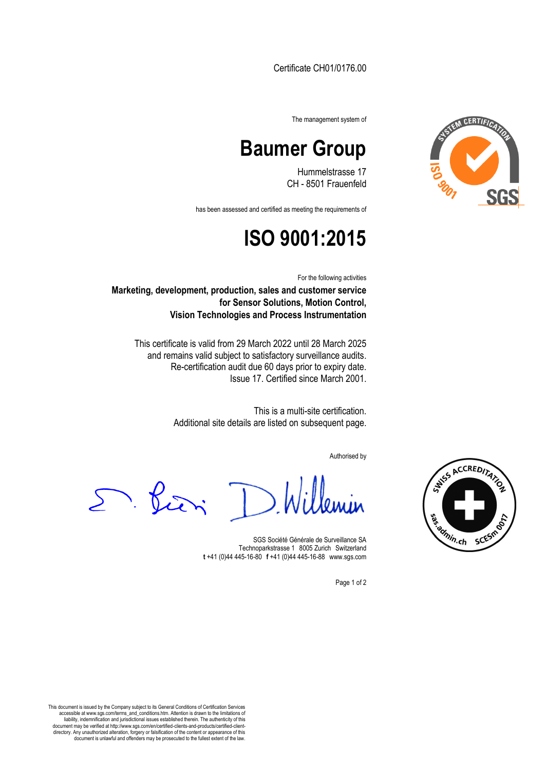Certificate CH01/0176.00



The management system of

## **Baumer Group**

Hummelstrasse 17 CH - 8501 Frauenfeld

has been assessed and certified as meeting the requirements of

## **ISO 9001:2015**

For the following activities

**Marketing, development, production, sales and customer service for Sensor Solutions, Motion Control, Vision Technologies and Process Instrumentation**

This certificate is valid from 29 March 2022 until 28 March 2025 and remains valid subject to satisfactory surveillance audits. Re-certification audit due 60 days prior to expiry date. Issue 17. Certified since March 2001.

> This is a multi-site certification. Additional site details are listed on subsequent page.

> > Authorised by

 $\sum$ . Piri

SGS Société Générale de Surveillance SA Technoparkstrasse 1 8005 Zurich Switzerland **t** +41 (0)44 445-16-80□**f** +41 (0)44 445-16-88□www.sgs.com

Page 1 of 2

This document is issued by the Company subject to its General Conditions of Certification Services accessible at www.sgs.com/terms\_and\_conditions.htm. Attention is drawn to the limitations of liability, indemnification and jurisdictional issues established therein. The authenticity of this document may be verified at http://www.sgs.com/en/certified-clients-and-products/certified-client-directory. Any unauthorized alteration, forgery or falsification of the content or appearance of this document is unlawful and offenders may be prosecuted to the fullest extent of the law.